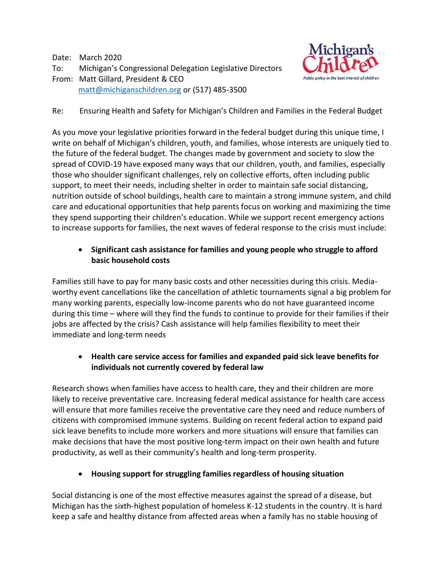Date: March 2020 To: Michigan's Congressional Delegation Legislative Directors From: Matt Gillard, President & CEO [matt@michiganschildren.org](mailto:matt@michiganschildren.org) or (517) 485-3500



Re: Ensuring Health and Safety for Michigan's Children and Families in the Federal Budget

As you move your legislative priorities forward in the federal budget during this unique time, I write on behalf of Michigan's children, youth, and families, whose interests are uniquely tied to the future of the federal budget. The changes made by government and society to slow the spread of COVID-19 have exposed many ways that our children, youth, and families, especially those who shoulder significant challenges, rely on collective efforts, often including public support, to meet their needs, including shelter in order to maintain safe social distancing, nutrition outside of school buildings, health care to maintain a strong immune system, and child care and educational opportunities that help parents focus on working and maximizing the time they spend supporting their children's education. While we support recent emergency actions to increase supports for families, the next waves of federal response to the crisis must include:

## **Significant cash assistance for families and young people who struggle to afford basic household costs**

Families still have to pay for many basic costs and other necessities during this crisis. Mediaworthy event cancellations like the cancellation of athletic tournaments signal a big problem for many working parents, especially low-income parents who do not have guaranteed income during this time – where will they find the funds to continue to provide for their families if their jobs are affected by the crisis? Cash assistance will help families flexibility to meet their immediate and long-term needs

## **Health care service access for families and expanded paid sick leave benefits for individuals not currently covered by federal law**

Research shows when families have access to health care, they and their children are more likely to receive preventative care. Increasing federal medical assistance for health care access will ensure that more families receive the preventative care they need and reduce numbers of citizens with compromised immune systems. Building on recent federal action to expand paid sick leave benefits to include more workers and more situations will ensure that families can make decisions that have the most positive long-term impact on their own health and future productivity, as well as their community's health and long-term prosperity.

# **Housing support for struggling families regardless of housing situation**

Social distancing is one of the most effective measures against the spread of a disease, but Michigan has the sixth-highest population of homeless K-12 students in the country. It is hard keep a safe and healthy distance from affected areas when a family has no stable housing of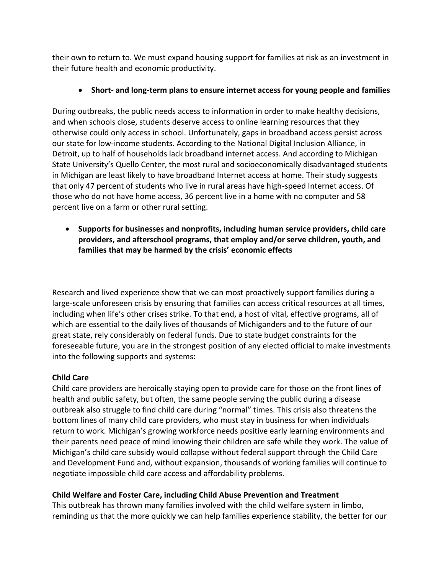their own to return to. We must expand housing support for families at risk as an investment in their future health and economic productivity.

## **Short- and long-term plans to ensure internet access for young people and families**

During outbreaks, the public needs access to information in order to make healthy decisions, and when schools close, students deserve access to online learning resources that they otherwise could only access in school. Unfortunately, gaps in broadband access persist across our state for low-income students. According to the National Digital Inclusion Alliance, in Detroit, up to half of households lack broadband internet access. And according to Michigan State University's Quello Center, the most rural and socioeconomically disadvantaged students in Michigan are least likely to have broadband Internet access at home. Their study suggests that only 47 percent of students who live in rural areas have high-speed Internet access. Of those who do not have home access, 36 percent live in a home with no computer and 58 percent live on a farm or other rural setting.

 **Supports for businesses and nonprofits, including human service providers, child care providers, and afterschool programs, that employ and/or serve children, youth, and families that may be harmed by the crisis' economic effects**

Research and lived experience show that we can most proactively support families during a large-scale unforeseen crisis by ensuring that families can access critical resources at all times, including when life's other crises strike. To that end, a host of vital, effective programs, all of which are essential to the daily lives of thousands of Michiganders and to the future of our great state, rely considerably on federal funds. Due to state budget constraints for the foreseeable future, you are in the strongest position of any elected official to make investments into the following supports and systems:

#### **Child Care**

Child care providers are heroically staying open to provide care for those on the front lines of health and public safety, but often, the same people serving the public during a disease outbreak also struggle to find child care during "normal" times. This crisis also threatens the bottom lines of many child care providers, who must stay in business for when individuals return to work. Michigan's growing workforce needs positive early learning environments and their parents need peace of mind knowing their children are safe while they work. The value of Michigan's child care subsidy would collapse without federal support through the Child Care and Development Fund and, without expansion, thousands of working families will continue to negotiate impossible child care access and affordability problems.

#### **Child Welfare and Foster Care, including Child Abuse Prevention and Treatment**

This outbreak has thrown many families involved with the child welfare system in limbo, reminding us that the more quickly we can help families experience stability, the better for our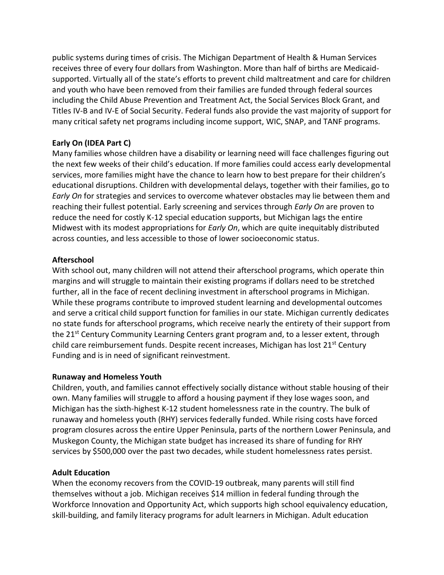public systems during times of crisis. The Michigan Department of Health & Human Services receives three of every four dollars from Washington. More than half of births are Medicaidsupported. Virtually all of the state's efforts to prevent child maltreatment and care for children and youth who have been removed from their families are funded through federal sources including the Child Abuse Prevention and Treatment Act, the Social Services Block Grant, and Titles IV-B and IV-E of Social Security. Federal funds also provide the vast majority of support for many critical safety net programs including income support, WIC, SNAP, and TANF programs.

### **Early On (IDEA Part C)**

Many families whose children have a disability or learning need will face challenges figuring out the next few weeks of their child's education. If more families could access early developmental services, more families might have the chance to learn how to best prepare for their children's educational disruptions. Children with developmental delays, together with their families, go to *Early On* for strategies and services to overcome whatever obstacles may lie between them and reaching their fullest potential. Early screening and services through *Early On* are proven to reduce the need for costly K-12 special education supports, but Michigan lags the entire Midwest with its modest appropriations for *Early On*, which are quite inequitably distributed across counties, and less accessible to those of lower socioeconomic status.

### **Afterschool**

With school out, many children will not attend their afterschool programs, which operate thin margins and will struggle to maintain their existing programs if dollars need to be stretched further, all in the face of recent declining investment in afterschool programs in Michigan. While these programs contribute to improved student learning and developmental outcomes and serve a critical child support function for families in our state. Michigan currently dedicates no state funds for afterschool programs, which receive nearly the entirety of their support from the 21<sup>st</sup> Century Community Learning Centers grant program and, to a lesser extent, through child care reimbursement funds. Despite recent increases, Michigan has lost 21<sup>st</sup> Century Funding and is in need of significant reinvestment.

#### **Runaway and Homeless Youth**

Children, youth, and families cannot effectively socially distance without stable housing of their own. Many families will struggle to afford a housing payment if they lose wages soon, and Michigan has the sixth-highest K-12 student homelessness rate in the country. The bulk of runaway and homeless youth (RHY) services federally funded. While rising costs have forced program closures across the entire Upper Peninsula, parts of the northern Lower Peninsula, and Muskegon County, the Michigan state budget has increased its share of funding for RHY services by \$500,000 over the past two decades, while student homelessness rates persist.

#### **Adult Education**

When the economy recovers from the COVID-19 outbreak, many parents will still find themselves without a job. Michigan receives \$14 million in federal funding through the Workforce Innovation and Opportunity Act, which supports high school equivalency education, skill-building, and family literacy programs for adult learners in Michigan. Adult education